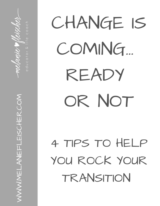educator &

 $\bm{\gtrless}$  $\bm{\gtrless}$ E<br>Si  $\sqcup$  $\overline{\phantom{0}}$  $\bm{\bm{\times}}$ )<br>기<br>기  $\Gamma$ L $\frac{\Box}{\Box}$  $\bigcup$ 工  $\Box$  $\mathcal{C}$ O $\boldsymbol{\Sigma}$ 

CHANGE IS COMING... READY OR NOT

4 TIPS TO HELP YOU ROCK YOUR **TRANSITION**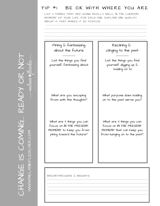#### TIP #1 BE OK WITH WHERE YOU ARE

-------------------------------------------------------------------------------------------------- --------------------------------------------------------------------------------------------------- --------------------------------------------------------------------------------------------------- --------------------------------------------------------------------------------------------------- ---------------------------------------------------------------------------------------------------

LIST 3 THINGS THAT ARE GOING REALLY WELL IN THE CURRENT MOMENT OF YOUR LIFE. FOR EACH ONE, EXPLAIN ONE QUALITY ABOUT IT THAT MAKES IT SO POSITIVE.

#### Pining & fantasizing about the future

-----------

List the things you find yourself fantasizing about

What are you 'escaping' from with this thoughts?

What are 3 things you can focus on IN THE PRESENT MOMENT to keep you from pining toward the future?

Reclining & clinging to the past

List the things you find yourself digging up & holding on to

-----------

What purpose does holding on to the past serve you?

What are 3 things you can focus on IN THE PRESENT MOMENT that can keep you from hanging on to the past?

| $\blacksquare$ BREAKTHROUGHS & INSIGHTS |
|-----------------------------------------|
|                                         |

-------------------------------------------------------------------------------------------------- --------------------------------------------------------------------------------------------------

--------------------------------------------------------------------------------------------------

 $\bigcirc$   $\bigcirc$   $\bigcirc$   $\bigcirc$   $\bigcirc$   $\bigcirc$   $\bigcirc$   $\bigcirc$   $\bigcirc$   $\bigcirc$   $\bigcirc$   $\bigcirc$   $\bigcirc$   $\bigcirc$   $\bigcirc$   $\bigcirc$   $\bigcirc$   $\bigcirc$   $\bigcirc$   $\bigcirc$   $\bigcirc$   $\bigcirc$   $\bigcirc$   $\bigcirc$   $\bigcirc$   $\bigcirc$   $\bigcirc$   $\bigcirc$   $\bigcirc$   $\bigcirc$   $\bigcirc$   $\bigcirc$   $\bigcirc$   $\bigcirc$   $\bigcirc$   $\bigcirc$   $\bigcirc$ 工  $\prec$  $\boldsymbol{Z}$ GN ENTE  $\bigcup$ O**ZE** G... R  $\sqcup$  $\prec$  $\Box$  $\blacktriangleright$ O ${\color{black}\mathsf{L}}$  $\boldsymbol{Z}$ O $\vdash$  1 WWW.MELANIEFLEISCHER.COM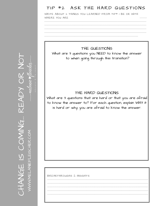#### TIP #2 ASK THE HARD QUESTIONS

WRITE ABOUT 2 THINGS YOU LEARNED FROM TIP# I BE OK WITH WHERE YOU ARE

#### THE QUESTIONS

What are 3 questions you NEED to know the answer to when going through this transition?

#### THE HARD QUESTIONS

What are 3 questions that are hard or that you are afraid to know the answer to? For each question, explain WHY it is hard or why you are afraid to know the answer.

### BREAKTHROUGHS & INSIGHTS

EADY HANGE IS COMING **MWMMELANEFLEISCHER.COM**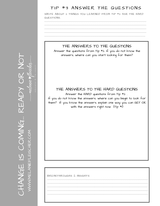#### TIP #3 ANSWER THE QUESTIONS

WRITE ABOUT 2 THINGS YOU LEARNED FROM TIP #2 ASK THE HARD QUESTIONS.

#### THE ANSWERS TO THE QUESTIONS

Answer the questions from Tip #2. If you do not know the answers, where can you start looking for them?

#### THE ANSWERS TO THE HARD QUESTIONS

Answer the HARD questions from Tip #2. If you do not know the answers, where can you begin to look for them? If you know the answers, explain one way you can GET OK with the answers right now  $(\text{Tip } #I)$ 

#### BREAKTHROUGHS & INSIGHTS

**EADY** HANGE IS COMING **JWW.MELANEFLEISCHER.COM**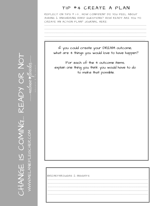#### TIP #4 CREATE A PLAN

REFLECT ON TIPS # 1-3, HOW CONFIDENT DO YOU FEEL ABOUT ASKING & ANSWERING HARD QUESTIONS? HOW READY ARE YOU TO CREATE AN ACTION PLAN? JOURNAL HERE:

If you could create your DREAM outcome, what are 4 things you would love to have happen?

For each of the 4 outcome items, explain one thing you think you would have to do to make that possible.

BREAKTHROUGHS & INSIGHTS

READY

HANGE IS COMING

VWW.MELANEFLEISCHER.COM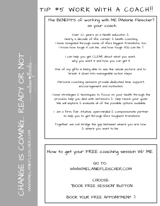## TIP #5 WORK WITH A COACH!!

#### The BENEFITS of working with ME (Melanie Fleischer) as your coach

Over 20 years as a Health educator & nearly a decade of life, career & health coaching. I have navigated through some of life's biggest transitions, too. I know how tough it can be... and how tough YOU can be :)

> I can help you get CLEAR about what you want, why you want it and how you can get it.

One of my gifts is being able to see the 'whole picture' and to break it down into manageable action steps.

Personal coaching sessions provide dedicated time, support, encouragement and motivation.

I have strategies & techniques to focus on your health through the process, help you deal with set-backs  $\&$  help reach your qoals. We will explore  $\&$  evaluate all of the possible options available.

 $I$  am a firm, fair, intuitive, open-minded  $\&$  compassionate partner to help you to get through life's toughest transitions

Together we can bridge the gap between where you are now & where you want to be. .

How to get your FREE coaching session W/ ME

GO TO: WWW.MELANIEFLEISCHER.COM

CHOOSE: "BOOK FREE SESSION" BUTTON

BOOK YOUR FREE APPOINTMENT :)

 $\bigcup$ 工  $\prec$  $\boldsymbol{Z}$ G $\sqcup$ NWW.MELANEFLEISCHER.CON  $\bigcup$ O**ZE** G... R  $\sqcup$  $\prec$  $\Box$  $\blacktriangleright$ O ${\color{black}\mathsf{L}}$  $\boldsymbol{Z}$ O $\begin{matrix} \begin{matrix} \begin{matrix} \end{matrix} \end{matrix} \end{matrix}$ WWW.MELANIEFLEISCHER.COM